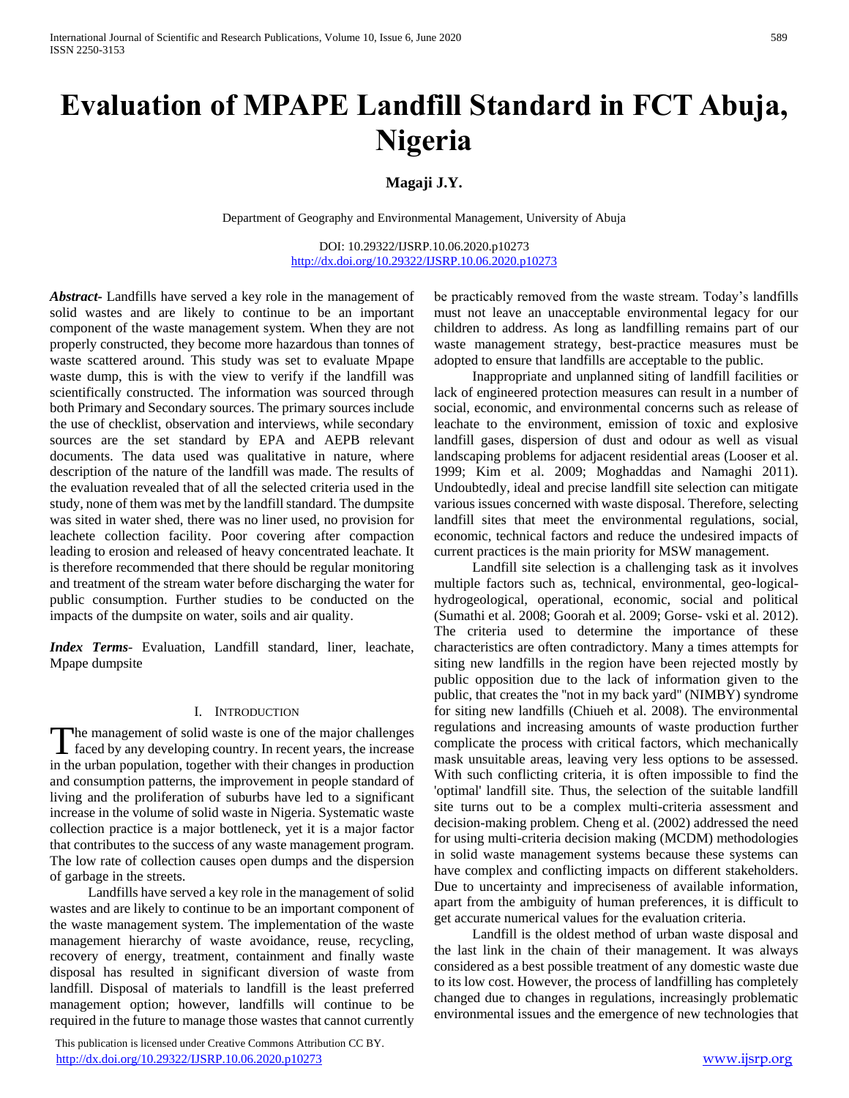# **Evaluation of MPAPE Landfill Standard in FCT Abuja, Nigeria**

## **Magaji J.Y.**

Department of Geography and Environmental Management, University of Abuja

DOI: 10.29322/IJSRP.10.06.2020.p10273 <http://dx.doi.org/10.29322/IJSRP.10.06.2020.p10273>

*Abstract***-** Landfills have served a key role in the management of solid wastes and are likely to continue to be an important component of the waste management system. When they are not properly constructed, they become more hazardous than tonnes of waste scattered around. This study was set to evaluate Mpape waste dump, this is with the view to verify if the landfill was scientifically constructed. The information was sourced through both Primary and Secondary sources. The primary sources include the use of checklist, observation and interviews, while secondary sources are the set standard by EPA and AEPB relevant documents. The data used was qualitative in nature, where description of the nature of the landfill was made. The results of the evaluation revealed that of all the selected criteria used in the study, none of them was met by the landfill standard. The dumpsite was sited in water shed, there was no liner used, no provision for leachete collection facility. Poor covering after compaction leading to erosion and released of heavy concentrated leachate. It is therefore recommended that there should be regular monitoring and treatment of the stream water before discharging the water for public consumption. Further studies to be conducted on the impacts of the dumpsite on water, soils and air quality.

*Index Terms*- Evaluation, Landfill standard, liner, leachate, Mpape dumpsite

## I. INTRODUCTION

The management of solid waste is one of the major challenges The management of solid waste is one of the major challenges<br>faced by any developing country. In recent years, the increase in the urban population, together with their changes in production and consumption patterns, the improvement in people standard of living and the proliferation of suburbs have led to a significant increase in the volume of solid waste in Nigeria. Systematic waste collection practice is a major bottleneck, yet it is a major factor that contributes to the success of any waste management program. The low rate of collection causes open dumps and the dispersion of garbage in the streets.

 Landfills have served a key role in the management of solid wastes and are likely to continue to be an important component of the waste management system. The implementation of the waste management hierarchy of waste avoidance, reuse, recycling, recovery of energy, treatment, containment and finally waste disposal has resulted in significant diversion of waste from landfill. Disposal of materials to landfill is the least preferred management option; however, landfills will continue to be required in the future to manage those wastes that cannot currently

 This publication is licensed under Creative Commons Attribution CC BY. <http://dx.doi.org/10.29322/IJSRP.10.06.2020.p10273> [www.ijsrp.org](http://ijsrp.org/)

be practicably removed from the waste stream. Today's landfills must not leave an unacceptable environmental legacy for our children to address. As long as landfilling remains part of our waste management strategy, best-practice measures must be adopted to ensure that landfills are acceptable to the public.

 Inappropriate and unplanned siting of landfill facilities or lack of engineered protection measures can result in a number of social, economic, and environmental concerns such as release of leachate to the environment, emission of toxic and explosive landfill gases, dispersion of dust and odour as well as visual landscaping problems for adjacent residential areas (Looser et al. 1999; Kim et al. 2009; Moghaddas and Namaghi 2011). Undoubtedly, ideal and precise landfill site selection can mitigate various issues concerned with waste disposal. Therefore, selecting landfill sites that meet the environmental regulations, social, economic, technical factors and reduce the undesired impacts of current practices is the main priority for MSW management.

 Landfill site selection is a challenging task as it involves multiple factors such as, technical, environmental, geo-logicalhydrogeological, operational, economic, social and political (Sumathi et al. 2008; Goorah et al. 2009; Gorse- vski et al. 2012). The criteria used to determine the importance of these characteristics are often contradictory. Many a times attempts for siting new landfills in the region have been rejected mostly by public opposition due to the lack of information given to the public, that creates the ''not in my back yard'' (NIMBY) syndrome for siting new landfills (Chiueh et al. 2008). The environmental regulations and increasing amounts of waste production further complicate the process with critical factors, which mechanically mask unsuitable areas, leaving very less options to be assessed. With such conflicting criteria, it is often impossible to find the 'optimal' landfill site. Thus, the selection of the suitable landfill site turns out to be a complex multi-criteria assessment and decision-making problem. Cheng et al. (2002) addressed the need for using multi-criteria decision making (MCDM) methodologies in solid waste management systems because these systems can have complex and conflicting impacts on different stakeholders. Due to uncertainty and impreciseness of available information, apart from the ambiguity of human preferences, it is difficult to get accurate numerical values for the evaluation criteria.

 Landfill is the oldest method of urban waste disposal and the last link in the chain of their management. It was always considered as a best possible treatment of any domestic waste due to its low cost. However, the process of landfilling has completely changed due to changes in regulations, increasingly problematic environmental issues and the emergence of new technologies that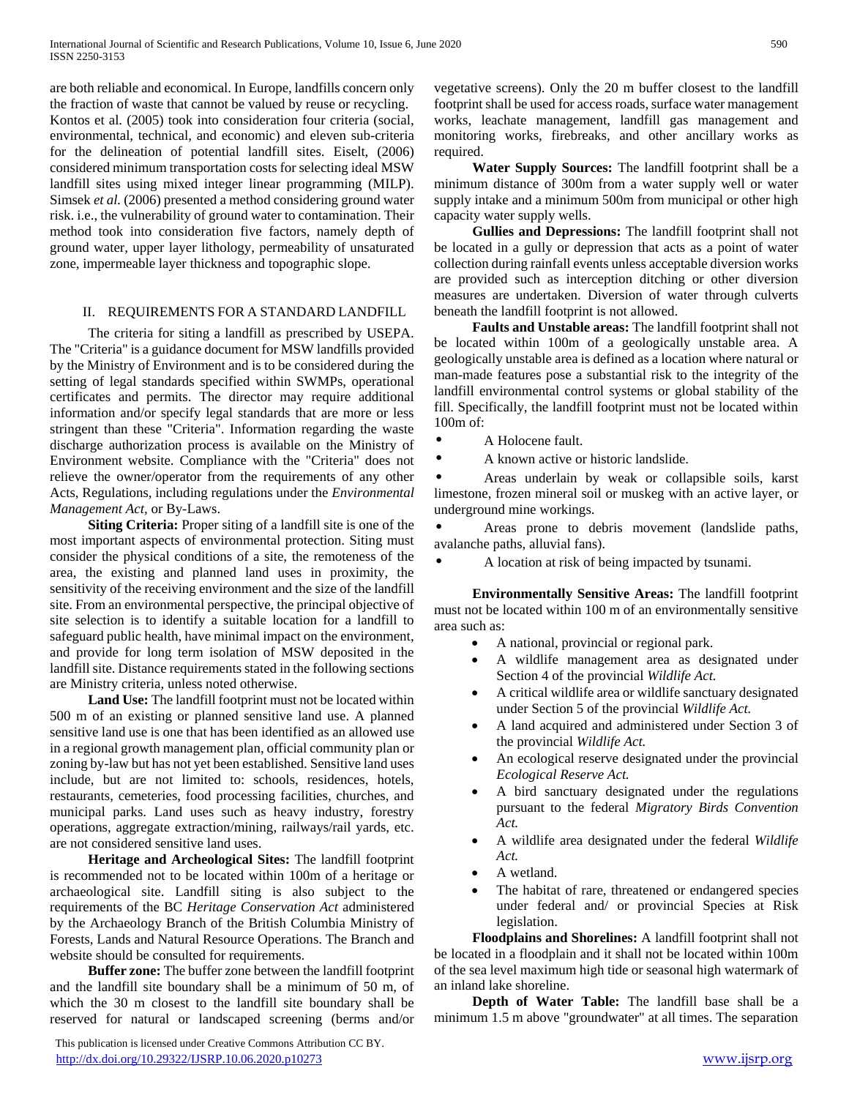are both reliable and economical. In Europe, landfills concern only the fraction of waste that cannot be valued by reuse or recycling. Kontos et al. (2005) took into consideration four criteria (social, environmental, technical, and economic) and eleven sub-criteria for the delineation of potential landfill sites. Eiselt, (2006) considered minimum transportation costs for selecting ideal MSW landfill sites using mixed integer linear programming (MILP). Simsek *et al.* (2006) presented a method considering ground water risk. i.e., the vulnerability of ground water to contamination. Their method took into consideration five factors, namely depth of ground water, upper layer lithology, permeability of unsaturated zone, impermeable layer thickness and topographic slope.

## II. REQUIREMENTS FOR A STANDARD LANDFILL

 The criteria for siting a landfill as prescribed by USEPA. The "Criteria" is a guidance document for MSW landfills provided by the Ministry of Environment and is to be considered during the setting of legal standards specified within SWMPs, operational certificates and permits. The director may require additional information and/or specify legal standards that are more or less stringent than these "Criteria". Information regarding the waste discharge authorization process is available on the Ministry of Environment website. Compliance with the "Criteria" does not relieve the owner/operator from the requirements of any other Acts, Regulations, including regulations under the *Environmental Management Act,* or By-Laws.

 **Siting Criteria:** Proper siting of a landfill site is one of the most important aspects of environmental protection. Siting must consider the physical conditions of a site, the remoteness of the area, the existing and planned land uses in proximity, the sensitivity of the receiving environment and the size of the landfill site. From an environmental perspective, the principal objective of site selection is to identify a suitable location for a landfill to safeguard public health, have minimal impact on the environment, and provide for long term isolation of MSW deposited in the landfill site. Distance requirements stated in the following sections are Ministry criteria, unless noted otherwise.

 **Land Use:** The landfill footprint must not be located within 500 m of an existing or planned sensitive land use. A planned sensitive land use is one that has been identified as an allowed use in a regional growth management plan, official community plan or zoning by-law but has not yet been established. Sensitive land uses include, but are not limited to: schools, residences, hotels, restaurants, cemeteries, food processing facilities, churches, and municipal parks. Land uses such as heavy industry, forestry operations, aggregate extraction/mining, railways/rail yards, etc. are not considered sensitive land uses.

 **Heritage and Archeological Sites:** The landfill footprint is recommended not to be located within 100m of a heritage or archaeological site. Landfill siting is also subject to the requirements of the BC *Heritage Conservation Act* administered by the Archaeology Branch of the British Columbia Ministry of Forests, Lands and Natural Resource Operations. The Branch and website should be consulted for requirements.

 **Buffer zone:** The buffer zone between the landfill footprint and the landfill site boundary shall be a minimum of 50 m, of which the 30 m closest to the landfill site boundary shall be reserved for natural or landscaped screening (berms and/or

 This publication is licensed under Creative Commons Attribution CC BY. <http://dx.doi.org/10.29322/IJSRP.10.06.2020.p10273> [www.ijsrp.org](http://ijsrp.org/)

vegetative screens). Only the 20 m buffer closest to the landfill footprint shall be used for access roads, surface water management works, leachate management, landfill gas management and monitoring works, firebreaks, and other ancillary works as required.

 **Water Supply Sources:** The landfill footprint shall be a minimum distance of 300m from a water supply well or water supply intake and a minimum 500m from municipal or other high capacity water supply wells.

 **Gullies and Depressions:** The landfill footprint shall not be located in a gully or depression that acts as a point of water collection during rainfall events unless acceptable diversion works are provided such as interception ditching or other diversion measures are undertaken. Diversion of water through culverts beneath the landfill footprint is not allowed.

 **Faults and Unstable areas:** The landfill footprint shall not be located within 100m of a geologically unstable area. A geologically unstable area is defined as a location where natural or man-made features pose a substantial risk to the integrity of the landfill environmental control systems or global stability of the fill. Specifically, the landfill footprint must not be located within 100m of:

- A Holocene fault.
- A known active or historic landslide.

• Areas underlain by weak or collapsible soils, karst limestone, frozen mineral soil or muskeg with an active layer, or underground mine workings.

• Areas prone to debris movement (landslide paths, avalanche paths, alluvial fans).

• A location at risk of being impacted by tsunami.

 **Environmentally Sensitive Areas:** The landfill footprint must not be located within 100 m of an environmentally sensitive area such as:

- A national, provincial or regional park.
- A wildlife management area as designated under Section 4 of the provincial *Wildlife Act.*
- A critical wildlife area or wildlife sanctuary designated under Section 5 of the provincial *Wildlife Act.*
- A land acquired and administered under Section 3 of the provincial *Wildlife Act.*
- An ecological reserve designated under the provincial *Ecological Reserve Act.*
- A bird sanctuary designated under the regulations pursuant to the federal *Migratory Birds Convention Act.*
- A wildlife area designated under the federal *Wildlife Act.*
- A wetland.
- The habitat of rare, threatened or endangered species under federal and/ or provincial Species at Risk legislation.

 **Floodplains and Shorelines:** A landfill footprint shall not be located in a floodplain and it shall not be located within 100m of the sea level maximum high tide or seasonal high watermark of an inland lake shoreline.

 **Depth of Water Table:** The landfill base shall be a minimum 1.5 m above "groundwater" at all times. The separation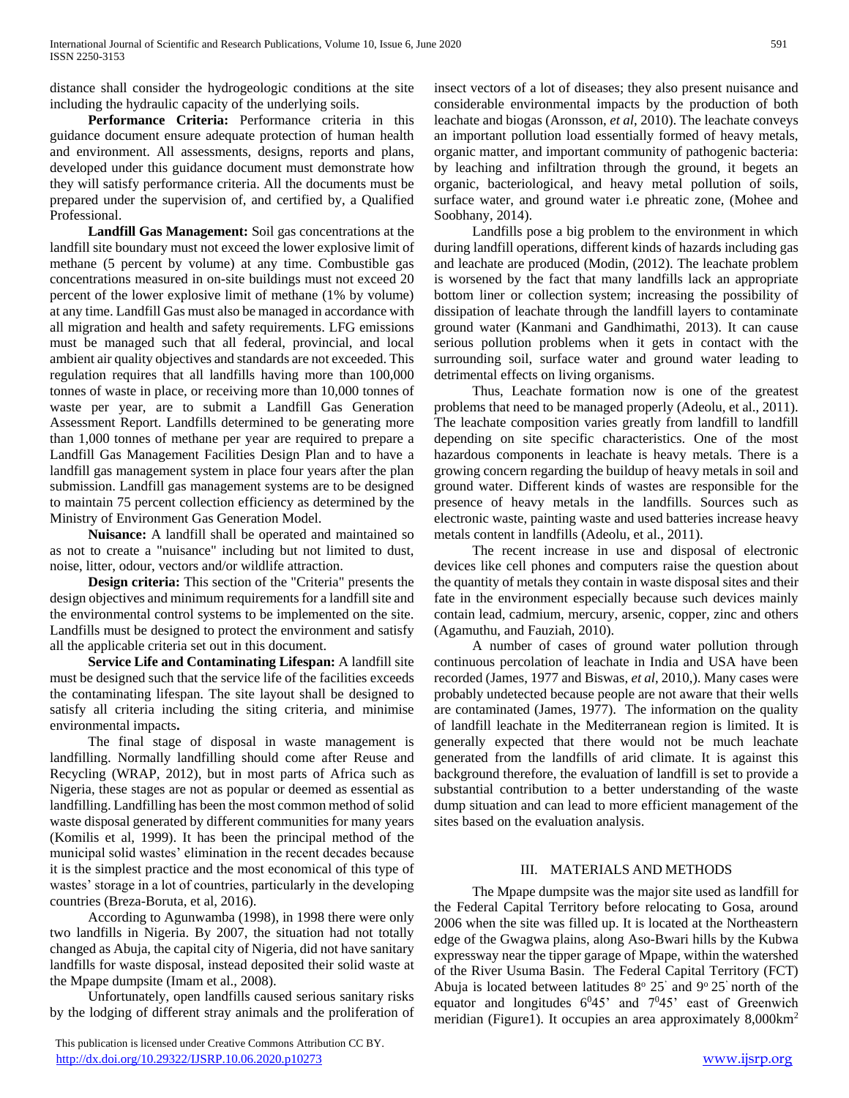distance shall consider the hydrogeologic conditions at the site including the hydraulic capacity of the underlying soils.

 **Performance Criteria:** Performance criteria in this guidance document ensure adequate protection of human health and environment. All assessments, designs, reports and plans, developed under this guidance document must demonstrate how they will satisfy performance criteria. All the documents must be prepared under the supervision of, and certified by, a Qualified Professional.

 **Landfill Gas Management:** Soil gas concentrations at the landfill site boundary must not exceed the lower explosive limit of methane (5 percent by volume) at any time. Combustible gas concentrations measured in on-site buildings must not exceed 20 percent of the lower explosive limit of methane (1% by volume) at any time. Landfill Gas must also be managed in accordance with all migration and health and safety requirements. LFG emissions must be managed such that all federal, provincial, and local ambient air quality objectives and standards are not exceeded. This regulation requires that all landfills having more than 100,000 tonnes of waste in place, or receiving more than 10,000 tonnes of waste per year, are to submit a Landfill Gas Generation Assessment Report. Landfills determined to be generating more than 1,000 tonnes of methane per year are required to prepare a Landfill Gas Management Facilities Design Plan and to have a landfill gas management system in place four years after the plan submission. Landfill gas management systems are to be designed to maintain 75 percent collection efficiency as determined by the Ministry of Environment Gas Generation Model.

 **Nuisance:** A landfill shall be operated and maintained so as not to create a "nuisance" including but not limited to dust, noise, litter, odour, vectors and/or wildlife attraction.

 **Design criteria:** This section of the "Criteria" presents the design objectives and minimum requirements for a landfill site and the environmental control systems to be implemented on the site. Landfills must be designed to protect the environment and satisfy all the applicable criteria set out in this document.

 **Service Life and Contaminating Lifespan:** A landfill site must be designed such that the service life of the facilities exceeds the contaminating lifespan. The site layout shall be designed to satisfy all criteria including the siting criteria, and minimise environmental impacts**.**

 The final stage of disposal in waste management is landfilling. Normally landfilling should come after Reuse and Recycling (WRAP, 2012), but in most parts of Africa such as Nigeria, these stages are not as popular or deemed as essential as landfilling. Landfilling has been the most common method of solid waste disposal generated by different communities for many years (Komilis et al, 1999). It has been the principal method of the municipal solid wastes' elimination in the recent decades because it is the simplest practice and the most economical of this type of wastes' storage in a lot of countries, particularly in the developing countries (Breza-Boruta, et al, 2016).

 According to Agunwamba (1998), in 1998 there were only two landfills in Nigeria. By 2007, the situation had not totally changed as Abuja, the capital city of Nigeria, did not have sanitary landfills for waste disposal, instead deposited their solid waste at the Mpape dumpsite (Imam et al., 2008).

 Unfortunately, open landfills caused serious sanitary risks by the lodging of different stray animals and the proliferation of

 This publication is licensed under Creative Commons Attribution CC BY. <http://dx.doi.org/10.29322/IJSRP.10.06.2020.p10273> [www.ijsrp.org](http://ijsrp.org/)

insect vectors of a lot of diseases; they also present nuisance and considerable environmental impacts by the production of both leachate and biogas (Aronsson, *et al*, 2010). The leachate conveys an important pollution load essentially formed of heavy metals, organic matter, and important community of pathogenic bacteria: by leaching and infiltration through the ground, it begets an organic, bacteriological, and heavy metal pollution of soils, surface water, and ground water i.e phreatic zone, (Mohee and Soobhany, 2014).

 Landfills pose a big problem to the environment in which during landfill operations, different kinds of hazards including gas and leachate are produced (Modin, (2012). The leachate problem is worsened by the fact that many landfills lack an appropriate bottom liner or collection system; increasing the possibility of dissipation of leachate through the landfill layers to contaminate ground water (Kanmani and Gandhimathi, 2013). It can cause serious pollution problems when it gets in contact with the surrounding soil, surface water and ground water leading to detrimental effects on living organisms.

 Thus, Leachate formation now is one of the greatest problems that need to be managed properly (Adeolu, et al., 2011). The leachate composition varies greatly from landfill to landfill depending on site specific characteristics. One of the most hazardous components in leachate is heavy metals. There is a growing concern regarding the buildup of heavy metals in soil and ground water. Different kinds of wastes are responsible for the presence of heavy metals in the landfills. Sources such as electronic waste, painting waste and used batteries increase heavy metals content in landfills (Adeolu, et al., 2011).

 The recent increase in use and disposal of electronic devices like cell phones and computers raise the question about the quantity of metals they contain in waste disposal sites and their fate in the environment especially because such devices mainly contain lead, cadmium, mercury, arsenic, copper, zinc and others (Agamuthu, and Fauziah, 2010).

 A number of cases of ground water pollution through continuous percolation of leachate in India and USA have been recorded (James, 1977 and Biswas, *et al*, 2010,). Many cases were probably undetected because people are not aware that their wells are contaminated (James, 1977). The information on the quality of landfill leachate in the Mediterranean region is limited. It is generally expected that there would not be much leachate generated from the landfills of arid climate. It is against this background therefore, the evaluation of landfill is set to provide a substantial contribution to a better understanding of the waste dump situation and can lead to more efficient management of the sites based on the evaluation analysis.

## III. MATERIALS AND METHODS

 The Mpape dumpsite was the major site used as landfill for the Federal Capital Territory before relocating to Gosa, around 2006 when the site was filled up. It is located at the Northeastern edge of the Gwagwa plains, along Aso-Bwari hills by the Kubwa expressway near the tipper garage of Mpape, within the watershed of the River Usuma Basin. The Federal Capital Territory (FCT) Abuja is located between latitudes  $8^{\circ}$   $25'$  and  $9^{\circ}$   $25'$  north of the equator and longitudes  $6^045$ ' and  $7^045$ ' east of Greenwich meridian (Figure1). It occupies an area approximately 8,000km<sup>2</sup>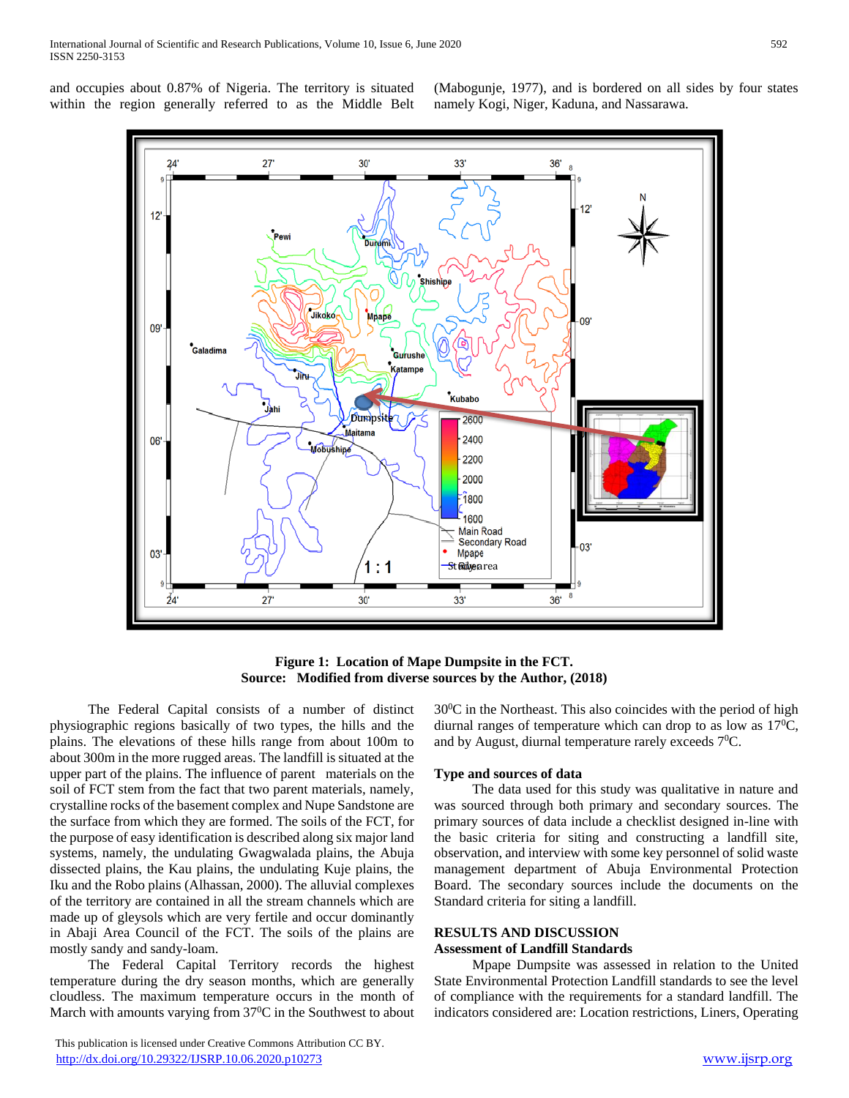and occupies about 0.87% of Nigeria. The territory is situated within the region generally referred to as the Middle Belt (Mabogunje, 1977), and is bordered on all sides by four states namely Kogi, Niger, Kaduna, and Nassarawa.



**Figure 1: Location of Mape Dumpsite in the FCT. Source: Modified from diverse sources by the Author, (2018)**

 The Federal Capital consists of a number of distinct physiographic regions basically of two types, the hills and the plains. The elevations of these hills range from about 100m to about 300m in the more rugged areas. The landfill is situated at the upper part of the plains. The influence of parent materials on the soil of FCT stem from the fact that two parent materials, namely, crystalline rocks of the basement complex and Nupe Sandstone are the surface from which they are formed. The soils of the FCT, for the purpose of easy identification is described along six major land systems, namely, the undulating Gwagwalada plains, the Abuja dissected plains, the Kau plains, the undulating Kuje plains, the Iku and the Robo plains (Alhassan, 2000). The alluvial complexes of the territory are contained in all the stream channels which are made up of gleysols which are very fertile and occur dominantly in Abaji Area Council of the FCT. The soils of the plains are mostly sandy and sandy-loam.

 The Federal Capital Territory records the highest temperature during the dry season months, which are generally cloudless. The maximum temperature occurs in the month of March with amounts varying from  $37^{\circ}$ C in the Southwest to about

 This publication is licensed under Creative Commons Attribution CC BY. <http://dx.doi.org/10.29322/IJSRP.10.06.2020.p10273> [www.ijsrp.org](http://ijsrp.org/)

 $30^{\circ}$ C in the Northeast. This also coincides with the period of high diurnal ranges of temperature which can drop to as low as  $17^{\circ}C$ , and by August, diurnal temperature rarely exceeds 7<sup>0</sup>C.

## **Type and sources of data**

 The data used for this study was qualitative in nature and was sourced through both primary and secondary sources. The primary sources of data include a checklist designed in-line with the basic criteria for siting and constructing a landfill site, observation, and interview with some key personnel of solid waste management department of Abuja Environmental Protection Board. The secondary sources include the documents on the Standard criteria for siting a landfill.

#### **RESULTS AND DISCUSSION Assessment of Landfill Standards**

 Mpape Dumpsite was assessed in relation to the United State Environmental Protection Landfill standards to see the level of compliance with the requirements for a standard landfill. The indicators considered are: Location restrictions, Liners, Operating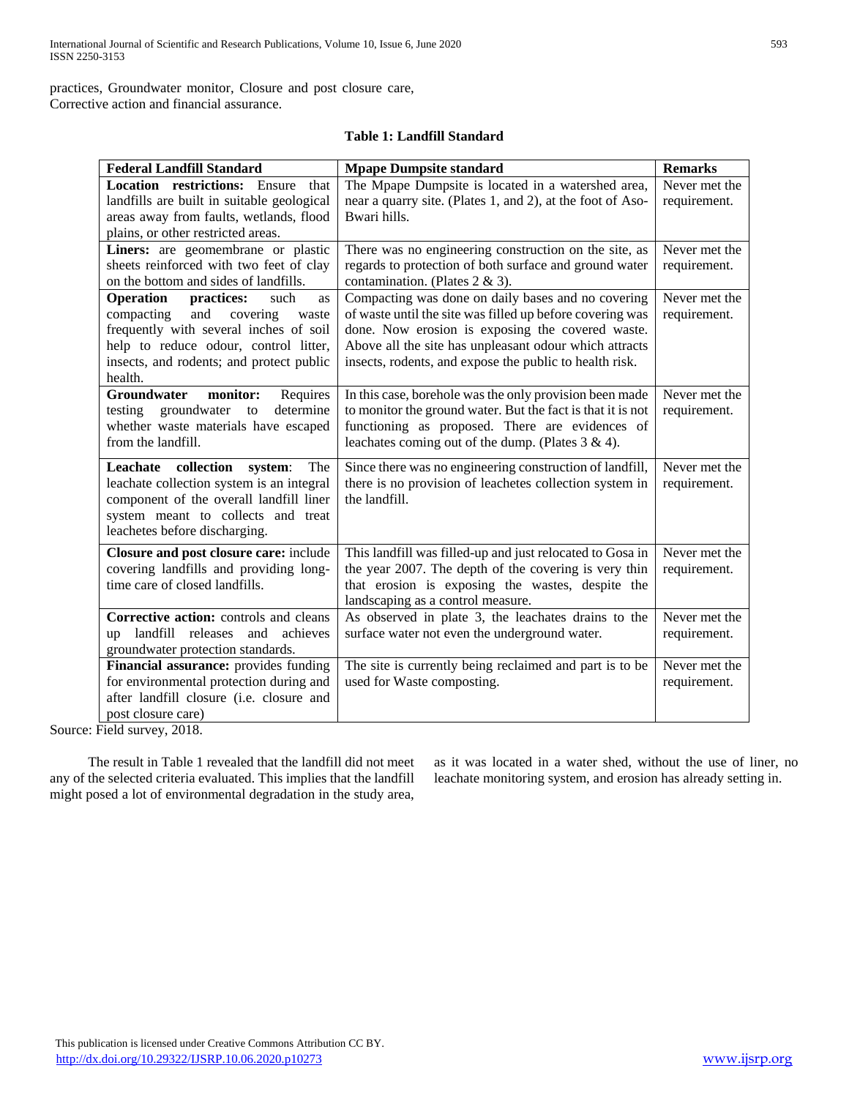practices, Groundwater monitor, Closure and post closure care, Corrective action and financial assurance.

## **Table 1: Landfill Standard**

| <b>Federal Landfill Standard</b>                    | <b>Mpape Dumpsite standard</b>                              | <b>Remarks</b> |
|-----------------------------------------------------|-------------------------------------------------------------|----------------|
| <b>Location</b> restrictions:<br>Ensure<br>that     | The Mpape Dumpsite is located in a watershed area,          | Never met the  |
| landfills are built in suitable geological          | near a quarry site. (Plates 1, and 2), at the foot of Aso-  | requirement.   |
| areas away from faults, wetlands, flood             | Bwari hills.                                                |                |
| plains, or other restricted areas.                  |                                                             |                |
| Liners: are geomembrane or plastic                  | There was no engineering construction on the site, as       | Never met the  |
| sheets reinforced with two feet of clay             | regards to protection of both surface and ground water      | requirement.   |
| on the bottom and sides of landfills.               | contamination. (Plates 2 & 3).                              |                |
| <b>Operation</b><br>practices:<br>such<br>as        | Compacting was done on daily bases and no covering          | Never met the  |
| compacting<br>and<br>covering<br>waste              | of waste until the site was filled up before covering was   | requirement.   |
| frequently with several inches of soil              | done. Now erosion is exposing the covered waste.            |                |
| help to reduce odour, control litter,               | Above all the site has unpleasant odour which attracts      |                |
| insects, and rodents; and protect public<br>health. | insects, rodents, and expose the public to health risk.     |                |
| <b>Groundwater</b><br>monitor:<br>Requires          | In this case, borehole was the only provision been made     | Never met the  |
| testing groundwater<br>determine<br>to              | to monitor the ground water. But the fact is that it is not | requirement.   |
| whether waste materials have escaped                | functioning as proposed. There are evidences of             |                |
| from the landfill.                                  | leachates coming out of the dump. (Plates $3 \& 4$ ).       |                |
|                                                     |                                                             |                |
| Leachate collection<br>system:<br>The               | Since there was no engineering construction of landfill,    | Never met the  |
| leachate collection system is an integral           | there is no provision of leachetes collection system in     | requirement.   |
| component of the overall landfill liner             | the landfill.                                               |                |
| system meant to collects and treat                  |                                                             |                |
| leachetes before discharging.                       |                                                             |                |
| Closure and post closure care: include              | This landfill was filled-up and just relocated to Gosa in   | Never met the  |
| covering landfills and providing long-              | the year 2007. The depth of the covering is very thin       | requirement.   |
| time care of closed landfills.                      | that erosion is exposing the wastes, despite the            |                |
|                                                     | landscaping as a control measure.                           |                |
| Corrective action: controls and cleans              | As observed in plate 3, the leachates drains to the         | Never met the  |
| up landfill releases and achieves                   | surface water not even the underground water.               | requirement.   |
| groundwater protection standards.                   |                                                             |                |
| Financial assurance: provides funding               | The site is currently being reclaimed and part is to be     | Never met the  |
| for environmental protection during and             | used for Waste composting.                                  | requirement.   |
| after landfill closure (i.e. closure and            |                                                             |                |
| post closure care)                                  |                                                             |                |

Source: Field survey, 2018.

 The result in Table 1 revealed that the landfill did not meet any of the selected criteria evaluated. This implies that the landfill might posed a lot of environmental degradation in the study area,

as it was located in a water shed, without the use of liner, no leachate monitoring system, and erosion has already setting in.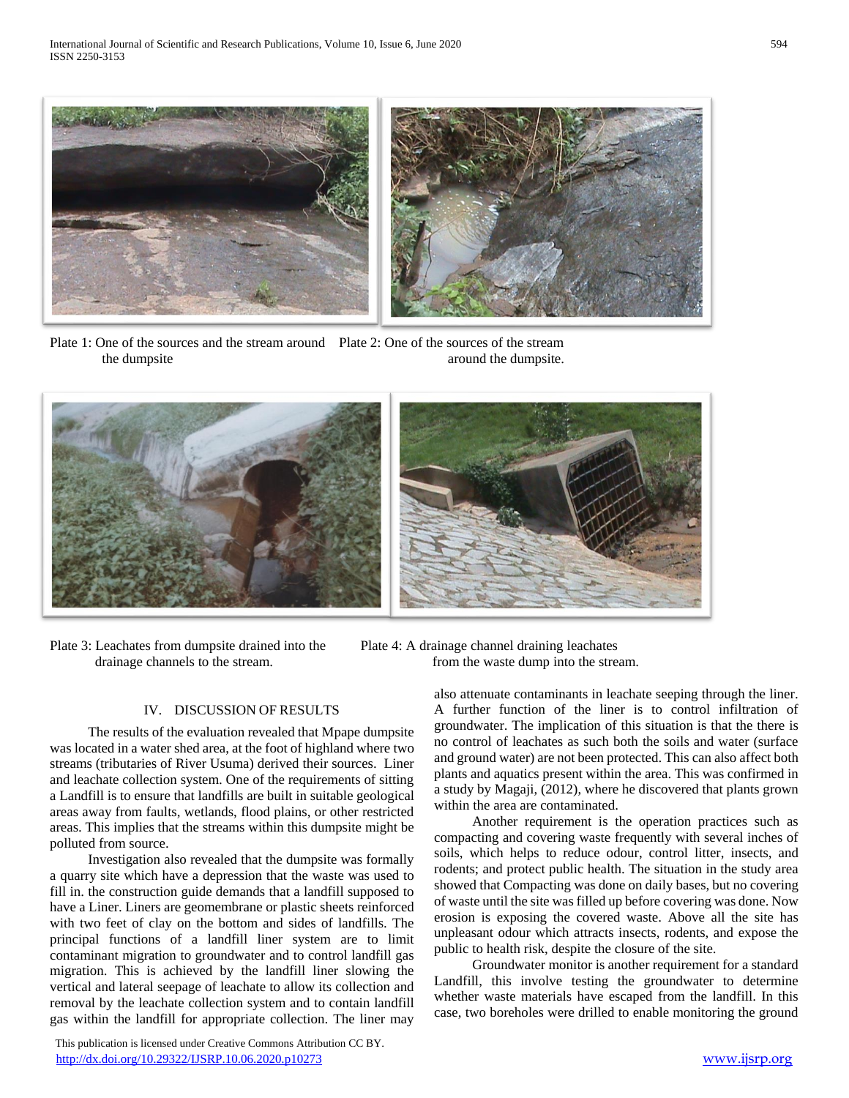

Plate 1: One of the sources and the stream around Plate 2: One of the sources of the stream the dumpsite around the dumpsite.



Plate 3: Leachates from dumpsite drained into the Plate 4: A drainage channel draining leachates

## drainage channels to the stream. **from** the waste dump into the stream.

## IV. DISCUSSION OF RESULTS

 The results of the evaluation revealed that Mpape dumpsite was located in a water shed area, at the foot of highland where two streams (tributaries of River Usuma) derived their sources. Liner and leachate collection system. One of the requirements of sitting a Landfill is to ensure that landfills are built in suitable geological areas away from faults, wetlands, flood plains, or other restricted areas. This implies that the streams within this dumpsite might be polluted from source.

 Investigation also revealed that the dumpsite was formally a quarry site which have a depression that the waste was used to fill in. the construction guide demands that a landfill supposed to have a Liner. Liners are geomembrane or plastic sheets reinforced with two feet of clay on the bottom and sides of landfills. The principal functions of a landfill liner system are to limit contaminant migration to groundwater and to control landfill gas migration. This is achieved by the landfill liner slowing the vertical and lateral seepage of leachate to allow its collection and removal by the leachate collection system and to contain landfill gas within the landfill for appropriate collection. The liner may

 This publication is licensed under Creative Commons Attribution CC BY. <http://dx.doi.org/10.29322/IJSRP.10.06.2020.p10273> [www.ijsrp.org](http://ijsrp.org/)

also attenuate contaminants in leachate seeping through the liner. A further function of the liner is to control infiltration of groundwater. The implication of this situation is that the there is no control of leachates as such both the soils and water (surface and ground water) are not been protected. This can also affect both plants and aquatics present within the area. This was confirmed in a study by Magaji, (2012), where he discovered that plants grown within the area are contaminated.

 Another requirement is the operation practices such as compacting and covering waste frequently with several inches of soils, which helps to reduce odour, control litter, insects, and rodents; and protect public health. The situation in the study area showed that Compacting was done on daily bases, but no covering of waste until the site was filled up before covering was done. Now erosion is exposing the covered waste. Above all the site has unpleasant odour which attracts insects, rodents, and expose the public to health risk, despite the closure of the site.

 Groundwater monitor is another requirement for a standard Landfill, this involve testing the groundwater to determine whether waste materials have escaped from the landfill. In this case, two boreholes were drilled to enable monitoring the ground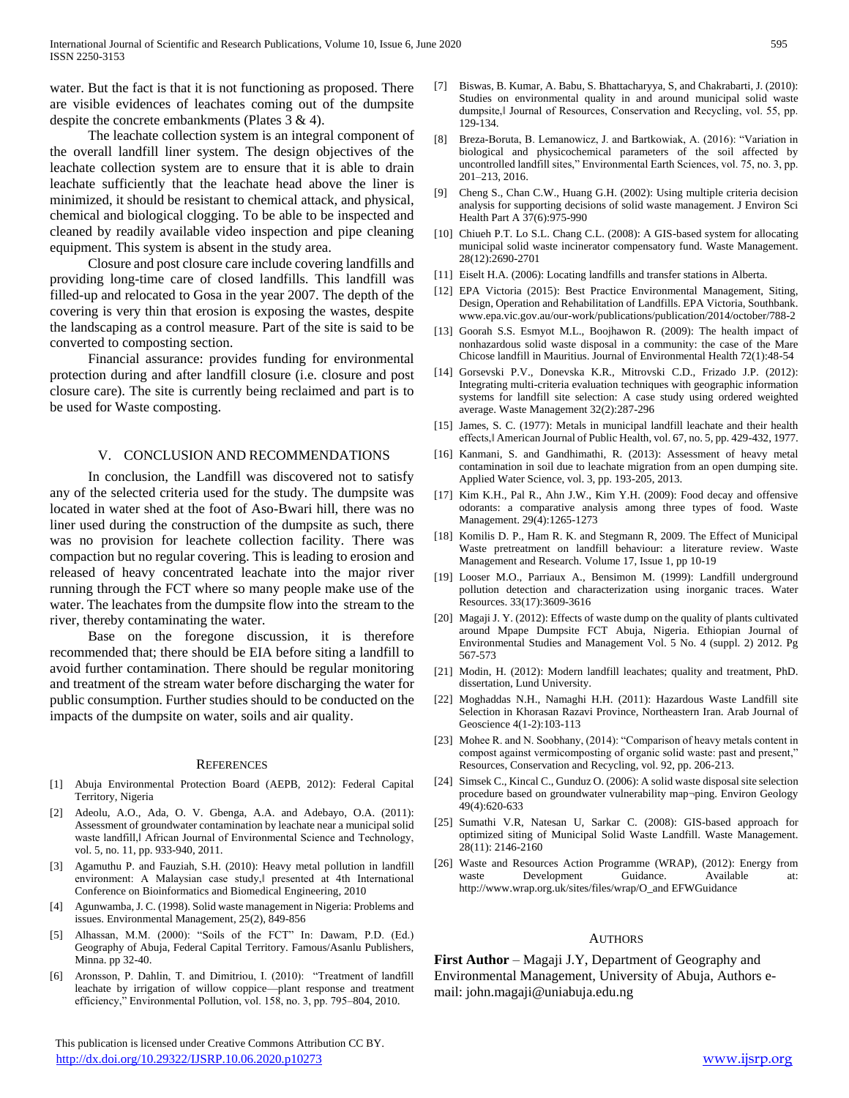water. But the fact is that it is not functioning as proposed. There are visible evidences of leachates coming out of the dumpsite despite the concrete embankments (Plates 3 & 4).

 The leachate collection system is an integral component of the overall landfill liner system. The design objectives of the leachate collection system are to ensure that it is able to drain leachate sufficiently that the leachate head above the liner is minimized, it should be resistant to chemical attack, and physical, chemical and biological clogging. To be able to be inspected and cleaned by readily available video inspection and pipe cleaning equipment. This system is absent in the study area.

 Closure and post closure care include covering landfills and providing long-time care of closed landfills. This landfill was filled-up and relocated to Gosa in the year 2007. The depth of the covering is very thin that erosion is exposing the wastes, despite the landscaping as a control measure. Part of the site is said to be converted to composting section.

 Financial assurance: provides funding for environmental protection during and after landfill closure (i.e. closure and post closure care). The site is currently being reclaimed and part is to be used for Waste composting.

## V. CONCLUSION AND RECOMMENDATIONS

 In conclusion, the Landfill was discovered not to satisfy any of the selected criteria used for the study. The dumpsite was located in water shed at the foot of Aso-Bwari hill, there was no liner used during the construction of the dumpsite as such, there was no provision for leachete collection facility. There was compaction but no regular covering. This is leading to erosion and released of heavy concentrated leachate into the major river running through the FCT where so many people make use of the water. The leachates from the dumpsite flow into the stream to the river, thereby contaminating the water.

 Base on the foregone discussion, it is therefore recommended that; there should be EIA before siting a landfill to avoid further contamination. There should be regular monitoring and treatment of the stream water before discharging the water for public consumption. Further studies should to be conducted on the impacts of the dumpsite on water, soils and air quality.

#### **REFERENCES**

- [1] Abuja Environmental Protection Board (AEPB, 2012): Federal Capital Territory, Nigeria
- [2] Adeolu, A.O., Ada, O. V. Gbenga, A.A. and Adebayo, O.A. (2011): Assessment of groundwater contamination by leachate near a municipal solid waste landfill, African Journal of Environmental Science and Technology, vol. 5, no. 11, pp. 933-940, 2011.
- [3] Agamuthu P. and Fauziah, S.H. (2010): Heavy metal pollution in landfill environment: A Malaysian case study,‖ presented at 4th International Conference on Bioinformatics and Biomedical Engineering, 2010
- [4] Agunwamba, J. C. (1998). Solid waste management in Nigeria: Problems and issues. Environmental Management, 25(2), 849-856
- [5] Alhassan, M.M. (2000): "Soils of the FCT" In: Dawam, P.D. (Ed.) Geography of Abuja, Federal Capital Territory. Famous/Asanlu Publishers, Minna. pp 32-40.
- Aronsson, P. Dahlin, T. and Dimitriou, I. (2010): "Treatment of landfill leachate by irrigation of willow coppice—plant response and treatment efficiency," Environmental Pollution, vol. 158, no. 3, pp. 795–804, 2010.

 This publication is licensed under Creative Commons Attribution CC BY. <http://dx.doi.org/10.29322/IJSRP.10.06.2020.p10273> [www.ijsrp.org](http://ijsrp.org/)

- [7] Biswas, B. Kumar, A. Babu, S. Bhattacharyya, S, and Chakrabarti, J. (2010): Studies on environmental quality in and around municipal solid waste dumpsite,‖ Journal of Resources, Conservation and Recycling, vol. 55, pp. 129-134.
- [8] Breza-Boruta, B. Lemanowicz, J. and Bartkowiak, A. (2016): "Variation in biological and physicochemical parameters of the soil affected by uncontrolled landfill sites," Environmental Earth Sciences, vol. 75, no. 3, pp. 201–213, 2016.
- [9] Cheng S., Chan C.W., Huang G.H. (2002): Using multiple criteria decision analysis for supporting decisions of solid waste management. J Environ Sci Health Part A 37(6):975-990
- [10] Chiueh P.T. Lo S.L. Chang C.L. (2008): A GIS-based system for allocating municipal solid waste incinerator compensatory fund. Waste Management. 28(12):2690-2701
- [11] Eiselt H.A. (2006): Locating landfills and transfer stations in Alberta.
- [12] EPA Victoria (2015): Best Practice Environmental Management, Siting, Design, Operation and Rehabilitation of Landfills. EPA Victoria, Southbank. www.epa.vic.gov.au/our-work/publications/publication/2014/october/788-2
- [13] Goorah S.S. Esmyot M.L., Boojhawon R. (2009): The health impact of nonhazardous solid waste disposal in a community: the case of the Mare Chicose landfill in Mauritius. Journal of Environmental Health 72(1):48-54
- [14] Gorsevski P.V., Donevska K.R., Mitrovski C.D., Frizado J.P. (2012): Integrating multi-criteria evaluation techniques with geographic information systems for landfill site selection: A case study using ordered weighted average. Waste Management 32(2):287-296
- [15] James, S. C. (1977): Metals in municipal landfill leachate and their health effects,‖ American Journal of Public Health, vol. 67, no. 5, pp. 429-432, 1977.
- [16] Kanmani, S. and Gandhimathi, R. (2013): Assessment of heavy metal contamination in soil due to leachate migration from an open dumping site. Applied Water Science, vol. 3, pp. 193-205, 2013.
- [17] Kim K.H., Pal R., Ahn J.W., Kim Y.H. (2009): Food decay and offensive odorants: a comparative analysis among three types of food. Waste Management. 29(4):1265-1273
- [18] Komilis D. P., Ham R. K. and Stegmann R, 2009. The Effect of Municipal Waste pretreatment on landfill behaviour: a literature review. Waste Management and Research. Volume 17, Issue 1, pp 10-19
- [19] Looser M.O., Parriaux A., Bensimon M. (1999): Landfill underground pollution detection and characterization using inorganic traces. Water Resources. 33(17):3609-3616
- [20] Magaji J. Y. (2012): Effects of waste dump on the quality of plants cultivated around Mpape Dumpsite FCT Abuja, Nigeria. Ethiopian Journal of Environmental Studies and Management Vol. 5 No. 4 (suppl. 2) 2012. Pg 567-573
- [21] Modin, H. (2012): Modern landfill leachates; quality and treatment, PhD. dissertation, Lund University.
- [22] Moghaddas N.H., Namaghi H.H. (2011): Hazardous Waste Landfill site Selection in Khorasan Razavi Province, Northeastern Iran. Arab Journal of Geoscience 4(1-2):103-113
- [23] Mohee R. and N. Soobhany, (2014): "Comparison of heavy metals content in compost against vermicomposting of organic solid waste: past and present," Resources, Conservation and Recycling, vol. 92, pp. 206-213.
- [24] Simsek C., Kincal C., Gunduz O. (2006): A solid waste disposal site selection procedure based on groundwater vulnerability map¬ping. Environ Geology 49(4):620-633
- [25] Sumathi V.R, Natesan U, Sarkar C. (2008): GIS-based approach for optimized siting of Municipal Solid Waste Landfill. Waste Management. 28(11): 2146-2160
- [26] Waste and Resources Action Programme (WRAP), (2012): Energy from waste Development Guidance. Available at: http://www.wrap.org.uk/sites/files/wrap/O\_and EFWGuidance

#### AUTHORS

First Author – Magaji J.Y, Department of Geography and Environmental Management, University of Abuja, Authors email: john.magaji@uniabuja.edu.ng